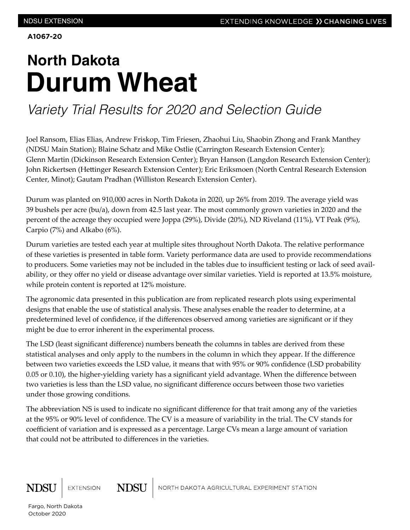**A1067-20**

# **North Dakota Durum Wheat**

## *Variety Trial Results for 2020 and Selection Guide*

Joel Ransom, Elias Elias, Andrew Friskop, Tim Friesen, Zhaohui Liu, Shaobin Zhong and Frank Manthey (NDSU Main Station); Blaine Schatz and Mike Ostlie (Carrington Research Extension Center); Glenn Martin (Dickinson Research Extension Center); Bryan Hanson (Langdon Research Extension Center); John Rickertsen (Hettinger Research Extension Center); Eric Eriksmoen (North Central Research Extension Center, Minot); Gautam Pradhan (Williston Research Extension Center).

Durum was planted on 910,000 acres in North Dakota in 2020, up 26% from 2019. The average yield was 39 bushels per acre (bu/a), down from 42.5 last year. The most commonly grown varieties in 2020 and the percent of the acreage they occupied were Joppa (29%), Divide (20%), ND Riveland (11%), VT Peak (9%), Carpio (7%) and Alkabo (6%).

Durum varieties are tested each year at multiple sites throughout North Dakota. The relative performance of these varieties is presented in table form. Variety performance data are used to provide recommendations to producers. Some varieties may not be included in the tables due to insufficient testing or lack of seed availability, or they offer no yield or disease advantage over similar varieties. Yield is reported at 13.5% moisture, while protein content is reported at 12% moisture.

The agronomic data presented in this publication are from replicated research plots using experimental designs that enable the use of statistical analysis. These analyses enable the reader to determine, at a predetermined level of confidence, if the differences observed among varieties are significant or if they might be due to error inherent in the experimental process.

The LSD (least significant difference) numbers beneath the columns in tables are derived from these statistical analyses and only apply to the numbers in the column in which they appear. If the difference between two varieties exceeds the LSD value, it means that with 95% or 90% confidence (LSD probability 0.05 or 0.10), the higher-yielding variety has a significant yield advantage. When the difference between two varieties is less than the LSD value, no significant difference occurs between those two varieties under those growing conditions.

The abbreviation NS is used to indicate no significant difference for that trait among any of the varieties at the 95% or 90% level of confidence. The CV is a measure of variability in the trial. The CV stands for coefficient of variation and is expressed as a percentage. Large CVs mean a large amount of variation that could not be attributed to differences in the varieties.

**NDSU** 



NORTH DAKOTA AGRICULTURAL EXPERIMENT STATION

Fargo, North Dakota October 2020

**EXTENSION**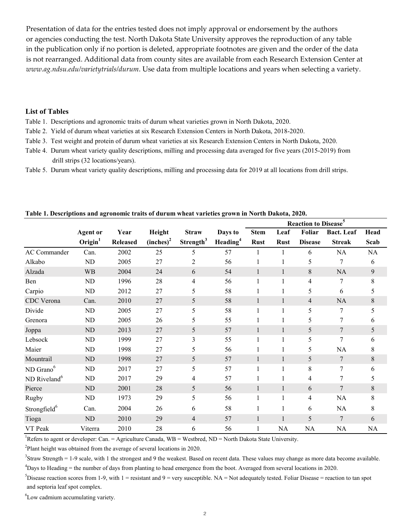Presentation of data for the entries tested does not imply approval or endorsement by the authors or agencies conducting the test. North Dakota State University approves the reproduction of any table in the publication only if no portion is deleted, appropriate footnotes are given and the order of the data is not rearranged. Additional data from county sites are available from each Research Extension Center at *www.ag.ndsu.edu/varietytrials/durum*. Use data from multiple locations and years when selecting a variety.

### **List of Tables**

- Table 1. Descriptions and agronomic traits of durum wheat varieties grown in North Dakota, 2020.
- Table 2. Yield of durum wheat varieties at six Research Extension Centers in North Dakota, 2018-2020.
- Table 3. Test weight and protein of durum wheat varieties at six Research Extension Centers in North Dakota, 2020.
- drill strips (32 locations/years). Table 4. Durum wheat variety quality descriptions, milling and processing data averaged for five years (2015-2019) from Table 3. Test weight and protein of during wheat varieties at six Research Extension Centers in North Dakota, 2020.
- Table 5. Durum wheat variety quality descriptions, milling and processing data for 2019 at all locations from drill strips. drill strips (32 locations). The contract of the contract of the contract of the contract of the contract of the contract of the contract of the contract of the contract of the contract of the contract of the contract of t

|                          |                 |                 |                       |                       |                      |              |              | Reaction to Disease <sup>5</sup> |                   |           |  |  |
|--------------------------|-----------------|-----------------|-----------------------|-----------------------|----------------------|--------------|--------------|----------------------------------|-------------------|-----------|--|--|
|                          | <b>Agent or</b> | Year            | Height                | <b>Straw</b>          | Days to              | <b>Stem</b>  | Leaf         | Foliar                           | <b>Bact.</b> Leaf | Head      |  |  |
|                          | $O$ rigin $1$   | <b>Released</b> | (inches) <sup>2</sup> | Strength <sup>3</sup> | Heading <sup>4</sup> | <b>Rust</b>  | <b>Rust</b>  | <b>Disease</b>                   | <b>Streak</b>     | Scab      |  |  |
| AC Commander             | Can.            | 2002            | 25                    | 5                     | 57                   |              | 1            | 6                                | <b>NA</b>         | <b>NA</b> |  |  |
| Alkabo                   | ND              | 2005            | 27                    | 2                     | 56                   |              | 1            | 5                                | 7                 | 6         |  |  |
| Alzada                   | <b>WB</b>       | 2004            | 24                    | 6                     | 54                   | $\mathbf{1}$ | $\mathbf{1}$ | 8                                | <b>NA</b>         | 9         |  |  |
| Ben                      | ND              | 1996            | 28                    | 4                     | 56                   | $\mathbf{1}$ | 1            | 4                                | 7                 | 8         |  |  |
| Carpio                   | ND              | 2012            | 27                    | 5                     | 58                   |              |              | 5                                | 6                 | 5         |  |  |
| CDC Verona               | Can.            | 2010            | 27                    | 5                     | 58                   | $\mathbf{1}$ | 1            | 4                                | <b>NA</b>         | 8         |  |  |
| Divide                   | ND              | 2005            | 27                    | 5                     | 58                   | $\mathbf{1}$ | 1            | 5                                | 7                 | 5         |  |  |
| Grenora                  | ND              | 2005            | 26                    | 5                     | 55                   |              |              | 5                                | 7                 | 6         |  |  |
| Joppa                    | ND              | 2013            | 27                    | 5                     | 57                   | $\mathbf{1}$ | 1            | 5                                | 7                 | 5         |  |  |
| Lebsock                  | ND              | 1999            | 27                    | 3                     | 55                   | $\mathbf{1}$ | 1            | 5                                | $\tau$            | 6         |  |  |
| Maier                    | ND              | 1998            | 27                    | 5                     | 56                   |              |              | 5                                | <b>NA</b>         | 8         |  |  |
| Mountrail                | ND              | 1998            | 27                    | 5                     | 57                   | $\mathbf{1}$ | 1            | 5                                | 7                 | 8         |  |  |
| ND Grano <sup>6</sup>    | ND              | 2017            | 27                    | 5                     | 57                   | $\mathbf{1}$ | $\mathbf{1}$ | 8                                | $\tau$            | 6         |  |  |
| ND Riveland <sup>6</sup> | ND              | 2017            | 29                    | 4                     | 57                   |              |              | 4                                | 7                 | 5         |  |  |
| Pierce                   | ND              | 2001            | 28                    | 5                     | 56                   | $\mathbf{1}$ | 1            | 6                                | $\overline{7}$    | $8\,$     |  |  |
| Rugby                    | ND              | 1973            | 29                    | 5                     | 56                   | $\mathbf{1}$ | 1            | 4                                | NA                | 8         |  |  |
| Strongfield <sup>6</sup> | Can.            | 2004            | 26                    | 6                     | 58                   | 1            | 1            | 6                                | <b>NA</b>         | 8         |  |  |
| Tioga                    | $\rm ND$        | 2010            | 29                    | $\overline{4}$        | 57                   | $\mathbf{1}$ | $\mathbf{1}$ | 5                                | $\overline{7}$    | 6         |  |  |
| VT Peak                  | Viterra         | 2010            | 28                    | 6                     | 56                   | $\mathbf{1}$ | <b>NA</b>    | NA                               | NA                | NA        |  |  |

### **Reaction to Disease<sup>5</sup> Table 1. Descriptions and agronomic traits of durum wheat varieties grown in North Dakota, 2020.**

<sup>1</sup>Refers to agent or developer: Can. = Agriculture Canada, WB = Westbred, ND = North Dakota State University.  $S_{\rm t}$  straw Strength  $S_{\rm t}$  the straw Strength data. The strength data become as more data. The strength data become available. The strongest as more data. The strength data become available. The strength data become

 $2$ Plant height was obtained from the average of several locations in 2020. Days to Heading = the number of days from planting to head emergence from the boot. Averaged from several locations in 2020.

 $3$ Straw Strength = 1-9 scale, with 1 the strongest and 9 the weakest. Based on recent data. These values may change as more data become available. Disease reaction scores from 1-9, with 1 = resistant and 9 = very susceptible. NA = Not adequately tested. Foliar Disease = reaction to tan spot

 $\frac{1}{2}$ and september spot complex.  $^{4}$ Days to Heading = the number of days from planting to head emergence from the boot. Averaged from several locations in 2020.

<sup>5</sup>Disease reaction scores from 1-9, with 1 = resistant and 9 = very susceptible. NA = Not adequately tested. Foliar Disease = reaction to tan spot and septoria leaf spot complex.

6 Low cadmium accumulating variety.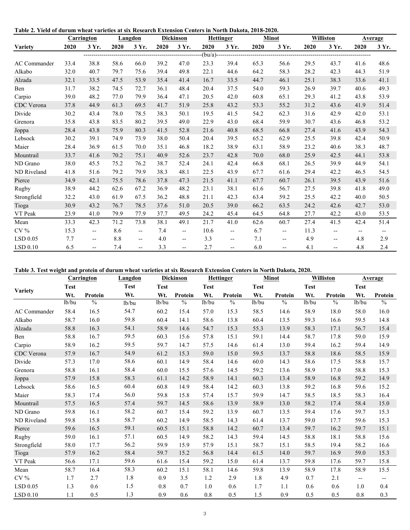**Table 2. Yield of durum wheat varieties at six Research Extension Centers in North Dakota, 2018-2020.**

|                 |      | <b>Carrington</b>        |      | Langdon                             |             | <b>Dickinson</b>         |              | <b>Hettinger</b>         |      | <b>Minot</b>               |      | <b>Williston</b>         |                          | <b>Average</b>           |
|-----------------|------|--------------------------|------|-------------------------------------|-------------|--------------------------|--------------|--------------------------|------|----------------------------|------|--------------------------|--------------------------|--------------------------|
| <b>Variety</b>  | 2020 | 3 Yr.                    | 2020 | 3 Yr.                               | 2020        | 3 Yr.                    | 2020         | 3 Yr.                    | 2020 | 3 Yr.                      | 2020 | 3 Yr.                    | 2020                     | 3 Yr.                    |
|                 |      |                          |      | ----------------------------------- | ----------- | ----------               | $-(bu/a)$ -- |                          |      | -------------------------- |      |                          |                          |                          |
| AC Commander    | 33.4 | 38.8                     | 58.6 | 66.0                                | 39.2        | 47.0                     | 23.3         | 39.4                     | 65.3 | 56.6                       | 29.5 | 43.7                     | 41.6                     | 48.6                     |
| Alkabo          | 32.0 | 40.7                     | 79.7 | 75.6                                | 39.4        | 49.8                     | 22.1         | 44.6                     | 64.2 | 58.3                       | 28.2 | 42.3                     | 44.3                     | 51.9                     |
| Alzada          | 32.1 | 33.5                     | 47.5 | 53.9                                | 35.4        | 41.4                     | 16.7         | 33.5                     | 44.7 | 46.1                       | 25.1 | 38.3                     | 33.6                     | 41.1                     |
| Ben             | 31.7 | 38.2                     | 74.5 | 72.7                                | 36.1        | 48.4                     | 20.4         | 37.5                     | 54.0 | 59.3                       | 26.9 | 39.7                     | 40.6                     | 49.3                     |
| Carpio          | 39.0 | 48.2                     | 77.0 | 79.9                                | 36.4        | 47.1                     | 20.5         | 42.0                     | 60.8 | 65.1                       | 29.3 | 41.2                     | 43.8                     | 53.9                     |
| CDC Verona      | 37.8 | 44.9                     | 61.3 | 69.5                                | 41.7        | 51.9                     | 25.8         | 43.2                     | 53.3 | 55.2                       | 31.2 | 43.6                     | 41.9                     | 51.4                     |
| Divide          | 30.2 | 43.4                     | 78.0 | 78.5                                | 38.3        | 50.1                     | 19.5         | 41.5                     | 54.2 | 62.3                       | 31.6 | 42.9                     | 42.0                     | 53.1                     |
| Grenora         | 35.8 | 43.8                     | 83.5 | 80.2                                | 39.5        | 49.0                     | 22.9         | 43.0                     | 68.4 | 59.9                       | 30.7 | 43.6                     | 46.8                     | 53.2                     |
| Joppa           | 28.4 | 43.8                     | 75.9 | 80.3                                | 41.5        | 52.8                     | 21.6         | 40.8                     | 68.5 | 66.8                       | 27.4 | 41.6                     | 43.9                     | 54.3                     |
| Lebsock         | 30.2 | 39.1                     | 74.9 | 73.9                                | 38.0        | 50.4                     | 20.4         | 39.5                     | 65.2 | 62.9                       | 25.5 | 39.8                     | 42.4                     | 50.9                     |
| Maier           | 28.4 | 36.9                     | 61.5 | 70.0                                | 35.1        | 46.8                     | 18.2         | 38.9                     | 63.1 | 58.9                       | 23.2 | 40.6                     | 38.3                     | 48.7                     |
| Mountrail       | 33.7 | 41.6                     | 70.2 | 75.1                                | 40.9        | 52.6                     | 23.7         | 42.8                     | 70.0 | 68.0                       | 25.9 | 42.5                     | 44.1                     | 53.8                     |
| ND Grano        | 38.0 | 45.5                     | 75.2 | 76.2                                | 38.7        | 52.4                     | 24.1         | 42.4                     | 66.8 | 68.1                       | 26.5 | 39.9                     | 44.9                     | 54.1                     |
| ND Riveland     | 41.8 | 51.6                     | 79.2 | 79.9                                | 38.3        | 48.1                     | 22.5         | 43.9                     | 67.7 | 61.6                       | 29.4 | 42.2                     | 46.5                     | 54.5                     |
| Pierce          | 34.9 | 42.1                     | 75.5 | 78.6                                | 37.8        | 47.3                     | 21.5         | 41.1                     | 67.7 | 60.7                       | 26.1 | 39.5                     | 43.9                     | 51.6                     |
| Rugby           | 38.9 | 44.2                     | 62.6 | 67.2                                | 36.9        | 48.2                     | 23.1         | 38.1                     | 61.6 | 56.7                       | 27.5 | 39.8                     | 41.8                     | 49.0                     |
| Strongfield     | 32.2 | 43.0                     | 61.9 | 67.5                                | 36.2        | 48.8                     | 21.1         | 42.3                     | 63.4 | 59.2                       | 25.5 | 42.2                     | 40.0                     | 50.5                     |
| Tioga           | 30.9 | 43.2                     | 76.7 | 78.5                                | 37.6        | 51.0                     | 20.5         | 39.0                     | 66.2 | 63.5                       | 24.2 | 42.6                     | 42.7                     | 53.0                     |
| VT Peak         | 23.9 | 41.0                     | 79.9 | 77.9                                | 37.7        | 49.5                     | 24.2         | 45.4                     | 64.5 | 64.8                       | 27.7 | 42.2                     | 43.0                     | 53.5                     |
| Mean            | 33.3 | 42.3                     | 71.2 | 73.8                                | 38.1        | 49.1                     | 21.7         | 41.0                     | 62.6 | 60.7                       | 27.4 | 41.5                     | 42.4                     | 51.4                     |
| CV <sub>0</sub> | 15.3 | $\overline{\phantom{a}}$ | 8.6  | $\overline{\phantom{a}}$            | 7.4         | $\overline{\phantom{a}}$ | 10.6         | $\overline{\phantom{a}}$ | 6.7  | $-$                        | 11.3 | $\overline{\phantom{a}}$ | $\overline{\phantom{a}}$ | $\overline{\phantom{a}}$ |
| $LSD$ 0.05      | 7.7  | $\qquad \qquad -$        | 8.8  | $\overline{\phantom{a}}$            | 4.0         | $\overline{\phantom{m}}$ | 3.3          | $\overline{\phantom{a}}$ | 7.1  | $- -$                      | 4.9  | $\overline{\phantom{a}}$ | 4.8                      | 2.9                      |
| LSD 0.10        | 6.5  | $-$                      | 7.4  | $\overline{\phantom{a}}$            | 3.3         | $-$                      | 2.7          | $\overline{\phantom{a}}$ | 6.0  | $-$                        | 4.1  | $-$                      | 4.8                      | 2.4                      |

Table 3. Test weight and protein of durum wheat varieties at six Research Extension Centers in North Dakota, 2020.

| <b>Carrington</b> |             |               | Langdon     |                    | <b>Dickinson</b> |             | <b>Hettinger</b> |             | <b>Minot</b>  |             | Williston     |                          | <b>Average</b> |  |
|-------------------|-------------|---------------|-------------|--------------------|------------------|-------------|------------------|-------------|---------------|-------------|---------------|--------------------------|----------------|--|
| Variety           | <b>Test</b> |               | <b>Test</b> | <b>Test</b>        |                  | <b>Test</b> |                  | <b>Test</b> |               | <b>Test</b> |               | <b>Test</b>              |                |  |
|                   | Wt.         | Protein       | Wt.         | Wt.                | Protein          | Wt.         | Protein          | Wt.         | Protein       | Wt.         | Protein       | Wt.                      | Protein        |  |
|                   | lb/bu       | $\frac{0}{0}$ | lb/bu       | 1 <sub>b</sub> /bu | $\frac{0}{0}$    | 1b/bu       | $\frac{0}{0}$    | lb/bu       | $\frac{0}{0}$ | lb/bu       | $\frac{0}{0}$ | lb/bu                    | $\frac{0}{6}$  |  |
| AC Commander      | 58.4        | 16.5          | 54.7        | 60.2               | 15.4             | 57.0        | 15.3             | 58.5        | 14.6          | 58.9        | 18.0          | 58.0                     | 16.0           |  |
| Alkabo            | 58.7        | 16.0          | 59.8        | 60.4               | 14.1             | 58.6        | 13.8             | 60.4        | 13.5          | 59.3        | 16.6          | 59.5                     | 14.8           |  |
| Alzada            | 58.8        | 16.3          | 54.1        | 58.9               | 14.6             | 54.7        | 15.3             | 55.3        | 13.9          | 58.3        | 17.1          | 56.7                     | 15.4           |  |
| Ben               | 58.8        | 16.7          | 59.5        | 60.3               | 15.6             | 57.8        | 15.1             | 59.1        | 14.4          | 58.7        | 17.8          | 59.0                     | 15.9           |  |
| Carpio            | 58.9        | 16.2          | 59.5        | 59.7               | 14.7             | 57.5        | 14.6             | 61.4        | 13.0          | 59.4        | 16.2          | 59.4                     | 14.9           |  |
| CDC Verona        | 57.9        | 16.7          | 54.9        | 61.2               | 15.3             | 59.0        | 15.0             | 59.5        | 13.7          | 58.8        | 18.6          | 58.5                     | 15.9           |  |
| Divide            | 57.3        | 17.0          | 58.6        | 60.1               | 14.9             | 58.4        | 14.6             | 60.0        | 14.3          | 58.6        | 17.5          | 58.8                     | 15.7           |  |
| Grenora           | 58.8        | 16.1          | 58.4        | 60.0               | 15.5             | 57.6        | 14.5             | 59.2        | 13.6          | 58.9        | 17.0          | 58.8                     | 15.3           |  |
| Joppa             | 57.9        | 15.8          | 58.3        | 61.1               | 14.2             | 58.9        | 14.1             | 60.3        | 13.4          | 58.9        | 16.8          | 59.2                     | 14.9           |  |
| Lebsock           | 58.6        | 16.5          | 60.4        | 60.8               | 14.9             | 58.4        | 14.2             | 60.3        | 13.8          | 59.2        | 16.8          | 59.6                     | 15.2           |  |
| Maier             | 58.3        | 17.4          | 56.0        | 59.8               | 15.8             | 57.4        | 15.7             | 59.9        | 14.7          | 58.5        | 18.5          | 58.3                     | 16.4           |  |
| Mountrail         | 57.5        | 16.5          | 57.4        | 59.7               | 14.5             | 58.6        | 13.9             | 58.9        | 13.0          | 58.2        | 17.4          | 58.4                     | 15.0           |  |
| ND Grano          | 59.8        | 16.1          | 58.2        | 60.7               | 15.4             | 59.2        | 13.9             | 60.7        | 13.5          | 59.4        | 17.6          | 59.7                     | 15.3           |  |
| ND Riveland       | 59.8        | 15.8          | 58.7        | 60.2               | 14.9             | 58.5        | 14.3             | 61.4        | 13.7          | 59.0        | 17.7          | 59.6                     | 15.3           |  |
| Pierce            | 59.6        | 16.5          | 59.1        | 60.5               | 15.1             | 58.8        | 14.2             | 60.7        | 13.4          | 59.7        | 16.2          | 59.7                     | 15.1           |  |
| Rugby             | 59.0        | 16.1          | 57.1        | 60.5               | 14.9             | 58.2        | 14.3             | 59.4        | 14.5          | 58.8        | 18.1          | 58.8                     | 15.6           |  |
| Strongfield       | 58.0        | 17.7          | 56.2        | 59.9               | 15.9             | 57.9        | 15.1             | 58.7        | 15.1          | 58.5        | 19.4          | 58.2                     | 16.6           |  |
| Tioga             | 57.9        | 16.2          | 58.4        | 59.7               | 15.2             | 56.8        | 14.4             | 61.5        | 14.0          | 59.7        | 16.9          | 59.0                     | 15.3           |  |
| VT Peak           | 56.6        | 17.1          | 59.6        | 61.6               | 15.4             | 59.2        | 15.0             | 61.4        | 13.7          | 59.8        | 17.6          | 59.7                     | 15.8           |  |
| Mean              | 58.7        | 16.4          | 58.3        | 60.2               | 15.1             | 58.1        | 14.6             | 59.8        | 13.9          | 58.9        | 17.8          | 58.9                     | 15.5           |  |
| $CV\%$            | 1.7         | 2.7           | 1.8         | 0.9                | 3.5              | 1.2         | 2.9              | 1.8         | 4.9           | 0.7         | 2.1           | $\overline{\phantom{a}}$ | $-\!$          |  |
| $LSD$ 0.05        | 1.3         | 0.6           | 1.5         | 0.8                | 0.7              | 1.0         | 0.6              | 1.7         | 1.1           | 0.6         | 0.6           | 1.0                      | 0.4            |  |
| LSD 0.10          | 1.1         | 0.5           | 1.3         | 0.9                | 0.6              | 0.8         | 0.5              | 1.5         | 0.9           | 0.5         | 0.5           | 0.8                      | 0.3            |  |